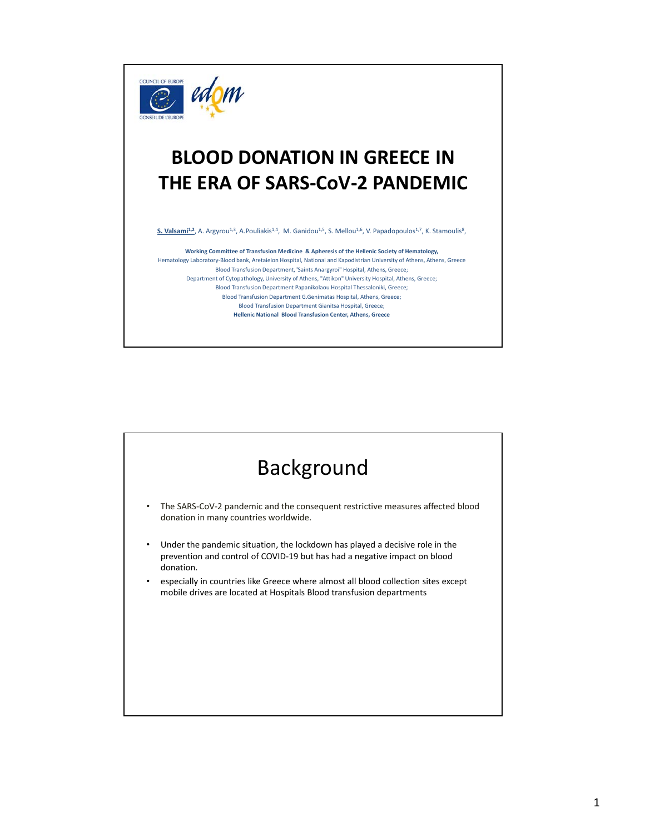

## **BLOOD DONATION IN GREECE IN THE ERA OF SARS-CoV-2 PANDEMIC**

S. Valsami<sup>1,2</sup>, A. Argyrou<sup>1,3</sup>, A.Pouliakis<sup>1,4</sup>, M. Ganidou<sup>1,5</sup>, S. Mellou<sup>1,6</sup>, V. Papadopoulos<sup>1,7</sup>, K. Stamoulis<sup>8</sup>,

**Working Committee of Transfusion Medicine & Apheresis of the Hellenic Society of Hematology,**  Hematology Laboratory-Blood bank, Aretaieion Hospital, National and Kapodistrian University of Athens, Athens, Greece Blood Transfusion Department,"Saints Anargyroi" Hospital, Athens, Greece; Department of Cytopathology, University of Athens, "Attikon" University Hospital, Athens, Greece; Blood Transfusion Department Papanikolaou Hospital Thessaloniki, Greece; Blood Transfusion Department G.Genimatas Hospital, Athens, Greece; Blood Transfusion Department Gianitsa Hospital, Greece; **Hellenic National Blood Transfusion Center, Athens, Greece**

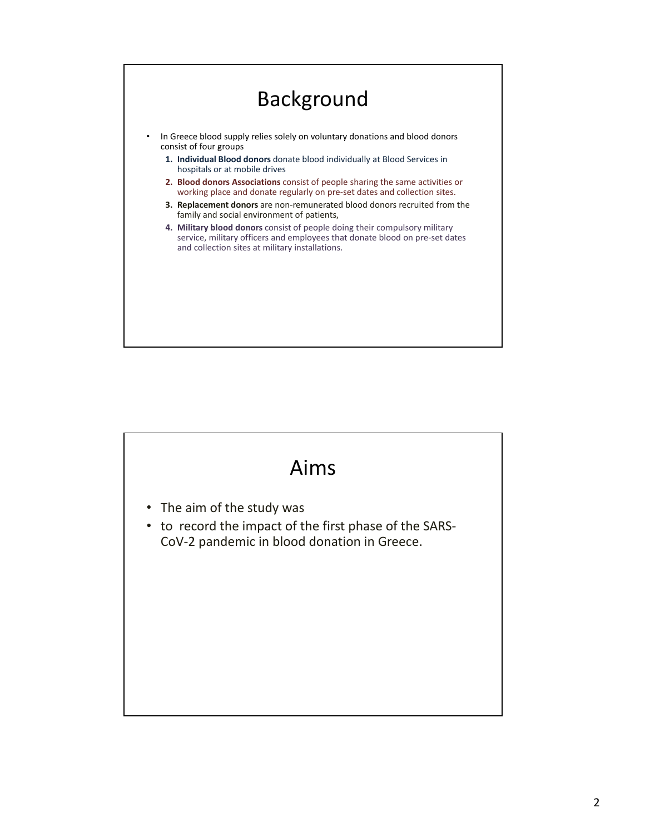

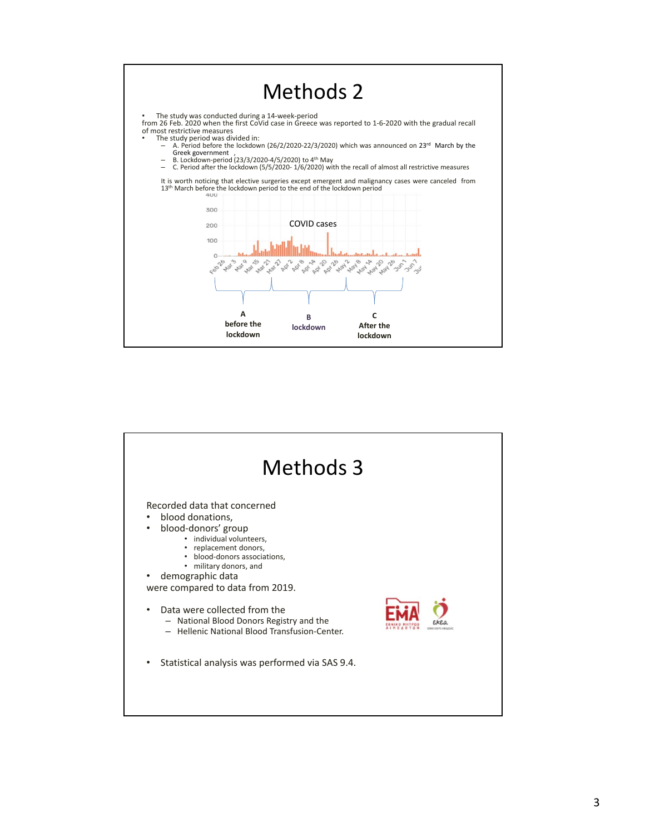

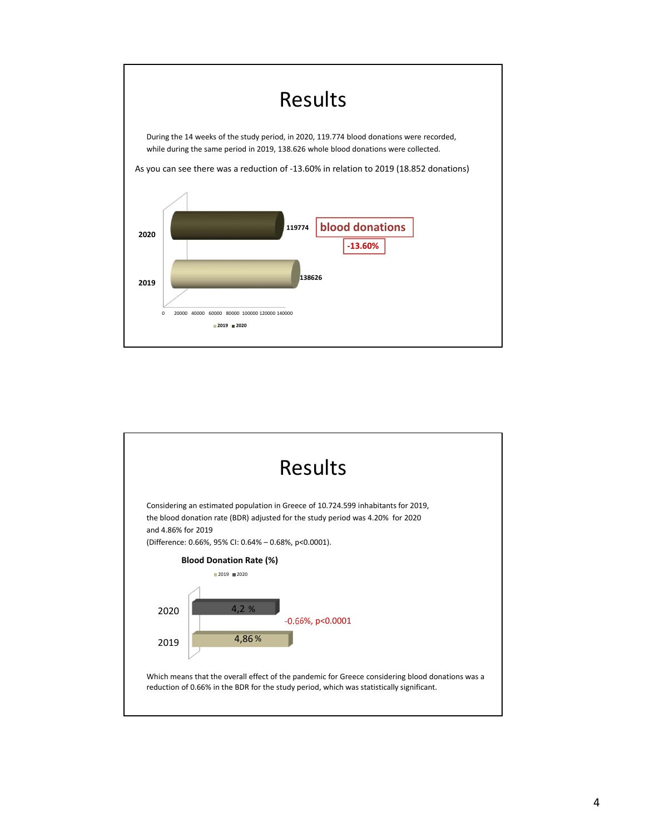

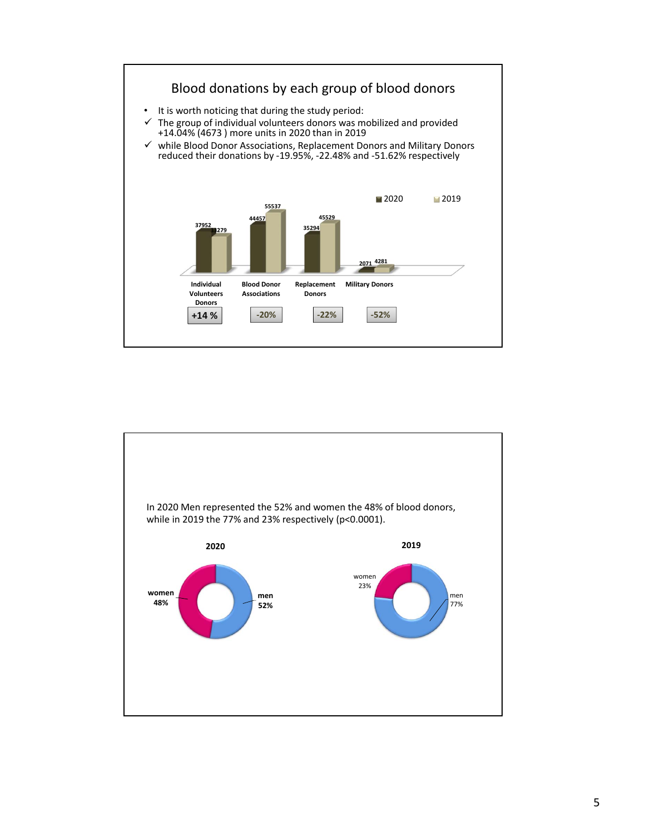

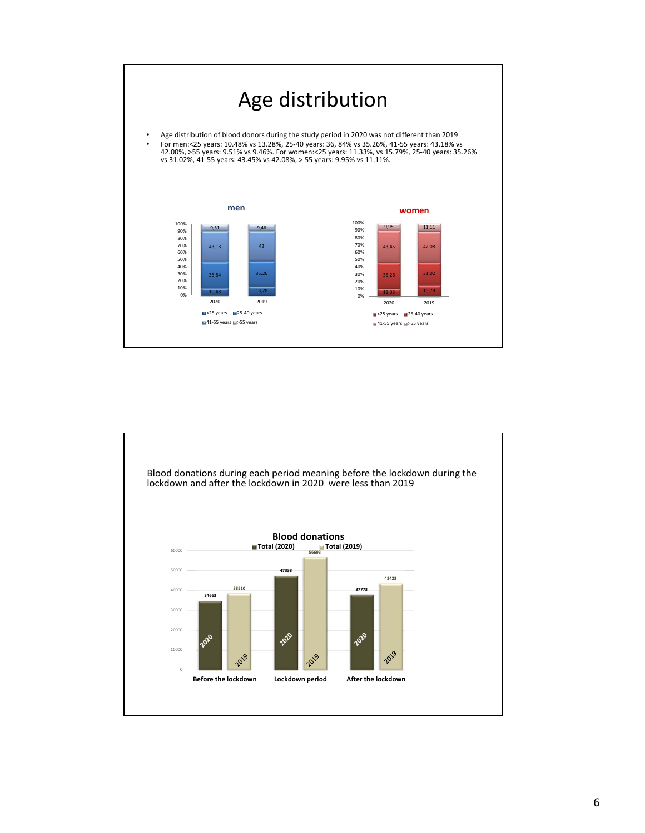

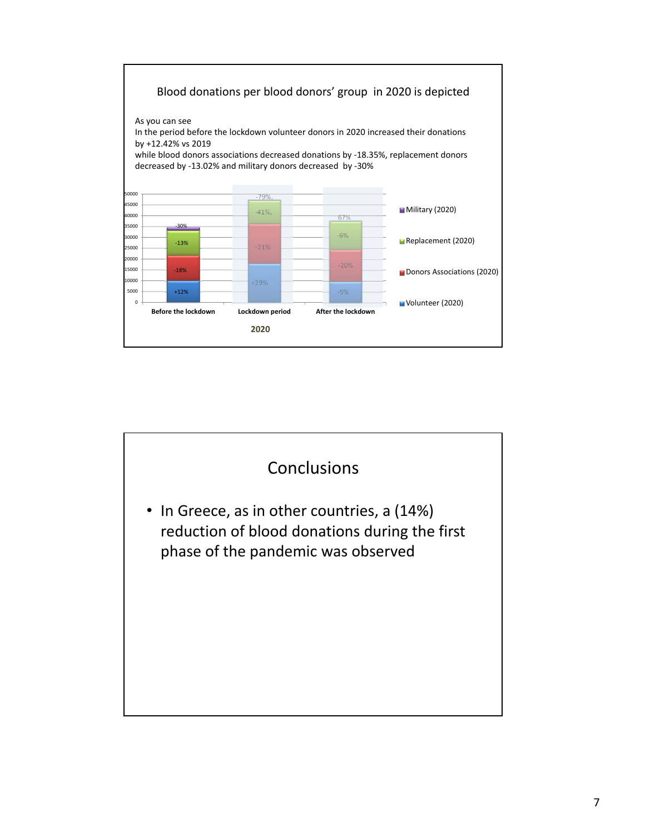

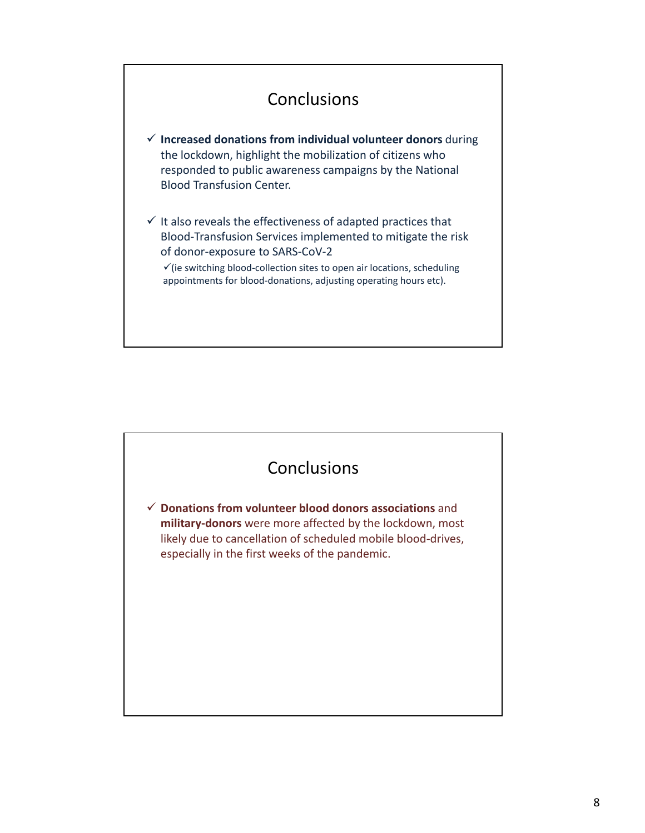